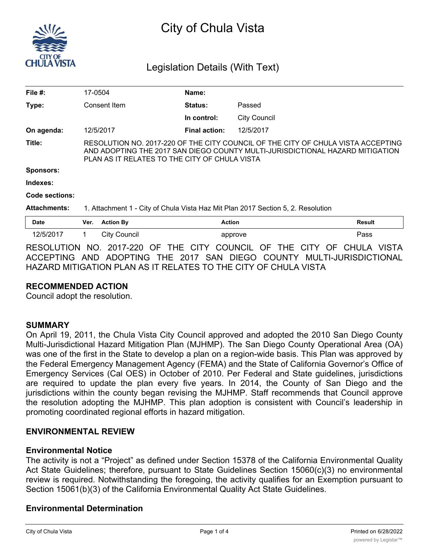

# City of Chula Vista

# Legislation Details (With Text)

| File #:             |                                                                                                                                                                                                                    | 17-0504             | Name:                |                     |               |
|---------------------|--------------------------------------------------------------------------------------------------------------------------------------------------------------------------------------------------------------------|---------------------|----------------------|---------------------|---------------|
| Type:               |                                                                                                                                                                                                                    | Consent Item        | <b>Status:</b>       | Passed              |               |
|                     |                                                                                                                                                                                                                    |                     | In control:          | <b>City Council</b> |               |
| On agenda:          |                                                                                                                                                                                                                    | 12/5/2017           | <b>Final action:</b> | 12/5/2017           |               |
| Title:              | RESOLUTION NO. 2017-220 OF THE CITY COUNCIL OF THE CITY OF CHULA VISTA ACCEPTING<br>AND ADOPTING THE 2017 SAN DIEGO COUNTY MULTI-JURISDICTIONAL HAZARD MITIGATION<br>PLAN AS IT RELATES TO THE CITY OF CHULA VISTA |                     |                      |                     |               |
| <b>Sponsors:</b>    |                                                                                                                                                                                                                    |                     |                      |                     |               |
| Indexes:            |                                                                                                                                                                                                                    |                     |                      |                     |               |
| Code sections:      |                                                                                                                                                                                                                    |                     |                      |                     |               |
| <b>Attachments:</b> | 1. Attachment 1 - City of Chula Vista Haz Mit Plan 2017 Section 5, 2. Resolution                                                                                                                                   |                     |                      |                     |               |
| <b>Date</b>         | Ver.                                                                                                                                                                                                               | <b>Action By</b>    | <b>Action</b>        |                     | <b>Result</b> |
| 12/5/2017           |                                                                                                                                                                                                                    | <b>City Council</b> |                      | approve             | Pass          |
|                     |                                                                                                                                                                                                                    |                     |                      |                     |               |

RESOLUTION NO. 2017-220 OF THE CITY COUNCIL OF THE CITY OF CHULA VISTA ACCEPTING AND ADOPTING THE 2017 SAN DIEGO COUNTY MULTI-JURISDICTIONAL HAZARD MITIGATION PLAN AS IT RELATES TO THE CITY OF CHULA VISTA

# **RECOMMENDED ACTION**

Council adopt the resolution.

#### **SUMMARY**

On April 19, 2011, the Chula Vista City Council approved and adopted the 2010 San Diego County Multi-Jurisdictional Hazard Mitigation Plan (MJHMP). The San Diego County Operational Area (OA) was one of the first in the State to develop a plan on a region-wide basis. This Plan was approved by the Federal Emergency Management Agency (FEMA) and the State of California Governor's Office of Emergency Services (Cal OES) in October of 2010. Per Federal and State guidelines, jurisdictions are required to update the plan every five years. In 2014, the County of San Diego and the jurisdictions within the county began revising the MJHMP. Staff recommends that Council approve the resolution adopting the MJHMP. This plan adoption is consistent with Council's leadership in promoting coordinated regional efforts in hazard mitigation.

# **ENVIRONMENTAL REVIEW**

#### **Environmental Notice**

The activity is not a "Project" as defined under Section 15378 of the California Environmental Quality Act State Guidelines; therefore, pursuant to State Guidelines Section 15060(c)(3) no environmental review is required. Notwithstanding the foregoing, the activity qualifies for an Exemption pursuant to Section 15061(b)(3) of the California Environmental Quality Act State Guidelines.

#### **Environmental Determination**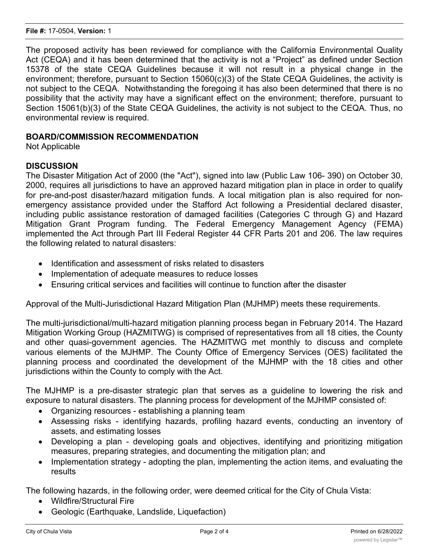The proposed activity has been reviewed for compliance with the California Environmental Quality Act (CEQA) and it has been determined that the activity is not a "Project" as defined under Section 15378 of the state CEQA Guidelines because it will not result in a physical change in the environment; therefore, pursuant to Section 15060(c)(3) of the State CEQA Guidelines, the activity is not subject to the CEQA. Notwithstanding the foregoing it has also been determined that there is no possibility that the activity may have a significant effect on the environment; therefore, pursuant to Section 15061(b)(3) of the State CEQA Guidelines, the activity is not subject to the CEQA. Thus, no environmental review is required.

## **BOARD/COMMISSION RECOMMENDATION**

Not Applicable

# **DISCUSSION**

The Disaster Mitigation Act of 2000 (the "Act"), signed into law (Public Law 106- 390) on October 30, 2000, requires all jurisdictions to have an approved hazard mitigation plan in place in order to qualify for pre-and-post disaster/hazard mitigation funds. A local mitigation plan is also required for nonemergency assistance provided under the Stafford Act following a Presidential declared disaster, including public assistance restoration of damaged facilities (Categories C through G) and Hazard Mitigation Grant Program funding. The Federal Emergency Management Agency (FEMA) implemented the Act through Part III Federal Register 44 CFR Parts 201 and 206. The law requires the following related to natural disasters:

- · Identification and assessment of risks related to disasters
- · Implementation of adequate measures to reduce losses
- · Ensuring critical services and facilities will continue to function after the disaster

Approval of the Multi-Jurisdictional Hazard Mitigation Plan (MJHMP) meets these requirements.

The multi-jurisdictional/multi-hazard mitigation planning process began in February 2014. The Hazard Mitigation Working Group (HAZMITWG) is comprised of representatives from all 18 cities, the County and other quasi-government agencies. The HAZMITWG met monthly to discuss and complete various elements of the MJHMP. The County Office of Emergency Services (OES) facilitated the planning process and coordinated the development of the MJHMP with the 18 cities and other jurisdictions within the County to comply with the Act.

The MJHMP is a pre-disaster strategic plan that serves as a guideline to lowering the risk and exposure to natural disasters. The planning process for development of the MJHMP consisted of:

- · Organizing resources establishing a planning team
- · Assessing risks identifying hazards, profiling hazard events, conducting an inventory of assets, and estimating losses
- · Developing a plan developing goals and objectives, identifying and prioritizing mitigation measures, preparing strategies, and documenting the mitigation plan; and
- · Implementation strategy adopting the plan, implementing the action items, and evaluating the results

The following hazards, in the following order, were deemed critical for the City of Chula Vista:

- · Wildfire/Structural Fire
- Geologic (Earthquake, Landslide, Liquefaction)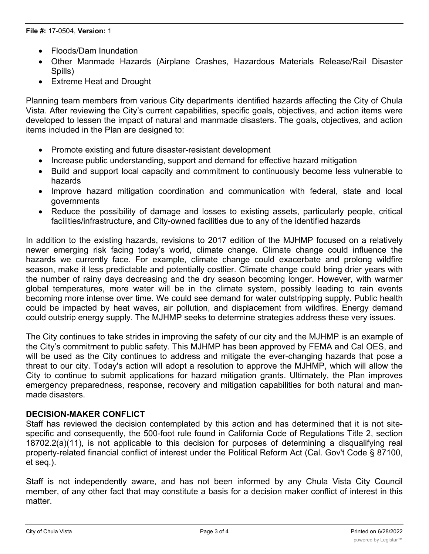- Floods/Dam Inundation
- · Other Manmade Hazards (Airplane Crashes, Hazardous Materials Release/Rail Disaster Spills)
- · Extreme Heat and Drought

Planning team members from various City departments identified hazards affecting the City of Chula Vista. After reviewing the City's current capabilities, specific goals, objectives, and action items were developed to lessen the impact of natural and manmade disasters. The goals, objectives, and action items included in the Plan are designed to:

- · Promote existing and future disaster-resistant development
- · Increase public understanding, support and demand for effective hazard mitigation
- · Build and support local capacity and commitment to continuously become less vulnerable to hazards
- · Improve hazard mitigation coordination and communication with federal, state and local governments
- · Reduce the possibility of damage and losses to existing assets, particularly people, critical facilities/infrastructure, and City-owned facilities due to any of the identified hazards

In addition to the existing hazards, revisions to 2017 edition of the MJHMP focused on a relatively newer emerging risk facing today's world, climate change. Climate change could influence the hazards we currently face. For example, climate change could exacerbate and prolong wildfire season, make it less predictable and potentially costlier. Climate change could bring drier years with the number of rainy days decreasing and the dry season becoming longer. However, with warmer global temperatures, more water will be in the climate system, possibly leading to rain events becoming more intense over time. We could see demand for water outstripping supply. Public health could be impacted by heat waves, air pollution, and displacement from wildfires. Energy demand could outstrip energy supply. The MJHMP seeks to determine strategies address these very issues.

The City continues to take strides in improving the safety of our city and the MJHMP is an example of the City's commitment to public safety. This MJHMP has been approved by FEMA and Cal OES, and will be used as the City continues to address and mitigate the ever-changing hazards that pose a threat to our city. Today's action will adopt a resolution to approve the MJHMP, which will allow the City to continue to submit applications for hazard mitigation grants. Ultimately, the Plan improves emergency preparedness, response, recovery and mitigation capabilities for both natural and manmade disasters.

# **DECISION-MAKER CONFLICT**

Staff has reviewed the decision contemplated by this action and has determined that it is not sitespecific and consequently, the 500-foot rule found in California Code of Regulations Title 2, section 18702.2(a)(11), is not applicable to this decision for purposes of determining a disqualifying real property-related financial conflict of interest under the Political Reform Act (Cal. Gov't Code § 87100, et seq.).

Staff is not independently aware, and has not been informed by any Chula Vista City Council member, of any other fact that may constitute a basis for a decision maker conflict of interest in this matter.